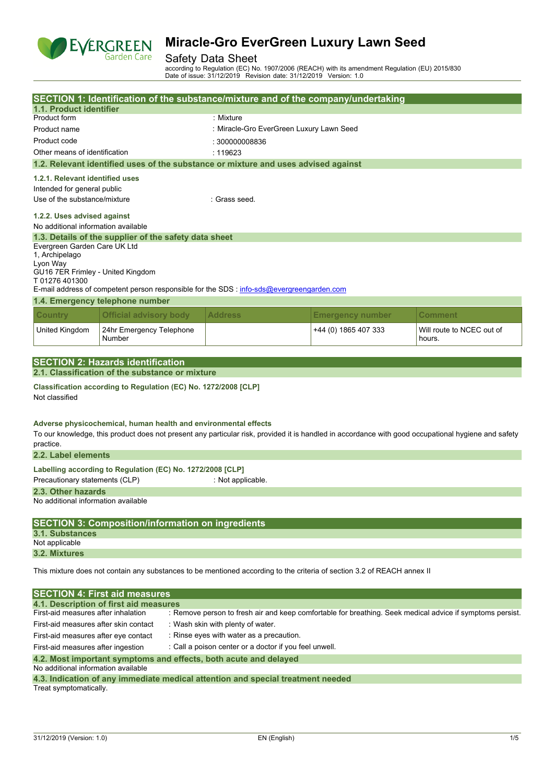

### Safety Data Sheet

according to Regulation (EC) No. 1907/2006 (REACH) with its amendment Regulation (EU) 2015/830 Date of issue: 31/12/2019 Revision date: 31/12/2019 Version: 1.0

|                                                                    |                                                                                                                                    | SECTION 1: Identification of the substance/mixture and of the company/undertaking                                                                   |                         |                                     |  |  |  |  |
|--------------------------------------------------------------------|------------------------------------------------------------------------------------------------------------------------------------|-----------------------------------------------------------------------------------------------------------------------------------------------------|-------------------------|-------------------------------------|--|--|--|--|
| 1.1. Product identifier                                            |                                                                                                                                    |                                                                                                                                                     |                         |                                     |  |  |  |  |
| Product form                                                       |                                                                                                                                    | : Mixture                                                                                                                                           |                         |                                     |  |  |  |  |
| Product name                                                       |                                                                                                                                    | : Miracle-Gro EverGreen Luxury Lawn Seed                                                                                                            |                         |                                     |  |  |  |  |
| Product code                                                       |                                                                                                                                    | : 300000008836                                                                                                                                      |                         |                                     |  |  |  |  |
| Other means of identification                                      |                                                                                                                                    | : 119623                                                                                                                                            |                         |                                     |  |  |  |  |
|                                                                    |                                                                                                                                    | 1.2. Relevant identified uses of the substance or mixture and uses advised against                                                                  |                         |                                     |  |  |  |  |
| 1.2.1. Relevant identified uses                                    |                                                                                                                                    |                                                                                                                                                     |                         |                                     |  |  |  |  |
| Intended for general public                                        |                                                                                                                                    |                                                                                                                                                     |                         |                                     |  |  |  |  |
| Use of the substance/mixture                                       |                                                                                                                                    | · Grass seed                                                                                                                                        |                         |                                     |  |  |  |  |
| 1.2.2. Uses advised against<br>No additional information available |                                                                                                                                    |                                                                                                                                                     |                         |                                     |  |  |  |  |
| Evergreen Garden Care UK Ltd<br>1, Archipelago<br>Lyon Way         | 1.3. Details of the supplier of the safety data sheet                                                                              |                                                                                                                                                     |                         |                                     |  |  |  |  |
| GU16 7ER Frimley - United Kingdom<br>T 01276 401300                |                                                                                                                                    | E-mail address of competent person responsible for the SDS : info-sds@evergreengarden.com                                                           |                         |                                     |  |  |  |  |
|                                                                    | 1.4. Emergency telephone number                                                                                                    |                                                                                                                                                     |                         |                                     |  |  |  |  |
| <b>Country</b>                                                     | <b>Official advisory body</b>                                                                                                      | <b>Address</b>                                                                                                                                      | <b>Emergency number</b> | Comment                             |  |  |  |  |
| United Kingdom                                                     | 24hr Emergency Telephone<br>Number                                                                                                 |                                                                                                                                                     | +44 (0) 1865 407 333    | Will route to NCEC out of<br>hours. |  |  |  |  |
|                                                                    |                                                                                                                                    |                                                                                                                                                     |                         |                                     |  |  |  |  |
|                                                                    | <b>SECTION 2: Hazards identification</b>                                                                                           |                                                                                                                                                     |                         |                                     |  |  |  |  |
|                                                                    | 2.1. Classification of the substance or mixture                                                                                    |                                                                                                                                                     |                         |                                     |  |  |  |  |
| Not classified                                                     | Classification according to Regulation (EC) No. 1272/2008 [CLP]<br>Adverse physicochemical, human health and environmental effects |                                                                                                                                                     |                         |                                     |  |  |  |  |
| practice.                                                          |                                                                                                                                    | To our knowledge, this product does not present any particular risk, provided it is handled in accordance with good occupational hygiene and safety |                         |                                     |  |  |  |  |
| 2.2. Label elements                                                |                                                                                                                                    |                                                                                                                                                     |                         |                                     |  |  |  |  |
| Precautionary statements (CLP)                                     | Labelling according to Regulation (EC) No. 1272/2008 [CLP]                                                                         | : Not applicable.                                                                                                                                   |                         |                                     |  |  |  |  |
| 2.3. Other hazards                                                 |                                                                                                                                    |                                                                                                                                                     |                         |                                     |  |  |  |  |
| No additional information available                                |                                                                                                                                    |                                                                                                                                                     |                         |                                     |  |  |  |  |
|                                                                    | <b>SECTION 3: Composition/information on ingredients</b>                                                                           |                                                                                                                                                     |                         |                                     |  |  |  |  |
| 3.1. Substances<br>Not applicable                                  |                                                                                                                                    |                                                                                                                                                     |                         |                                     |  |  |  |  |
| 3.2. Mixtures                                                      |                                                                                                                                    |                                                                                                                                                     |                         |                                     |  |  |  |  |
|                                                                    |                                                                                                                                    | This mixture does not contain any substances to be mentioned according to the criteria of section 3.2 of REACH annex II                             |                         |                                     |  |  |  |  |
|                                                                    | <b>SECTION 4: First aid measures</b>                                                                                               |                                                                                                                                                     |                         |                                     |  |  |  |  |
|                                                                    | 4.1. Description of first aid measures                                                                                             |                                                                                                                                                     |                         |                                     |  |  |  |  |
| First-aid measures after inhalation                                |                                                                                                                                    | : Remove person to fresh air and keep comfortable for breathing. Seek medical advice if symptoms persist.                                           |                         |                                     |  |  |  |  |
| First-aid measures after skin contact                              |                                                                                                                                    | : Wash skin with plenty of water.                                                                                                                   |                         |                                     |  |  |  |  |
|                                                                    | : Rinse eyes with water as a precaution.<br>First-aid measures after eye contact                                                   |                                                                                                                                                     |                         |                                     |  |  |  |  |
| First-aid measures after ingestion                                 |                                                                                                                                    | : Call a poison center or a doctor if you feel unwell.                                                                                              |                         |                                     |  |  |  |  |
| 4.2. Most important symptoms and effects, both acute and delayed   |                                                                                                                                    |                                                                                                                                                     |                         |                                     |  |  |  |  |

No additional information available

| 4.3. Indication of any immediate medical attention and special treatment needed |  |  |  |
|---------------------------------------------------------------------------------|--|--|--|
| Treat symptomatically.                                                          |  |  |  |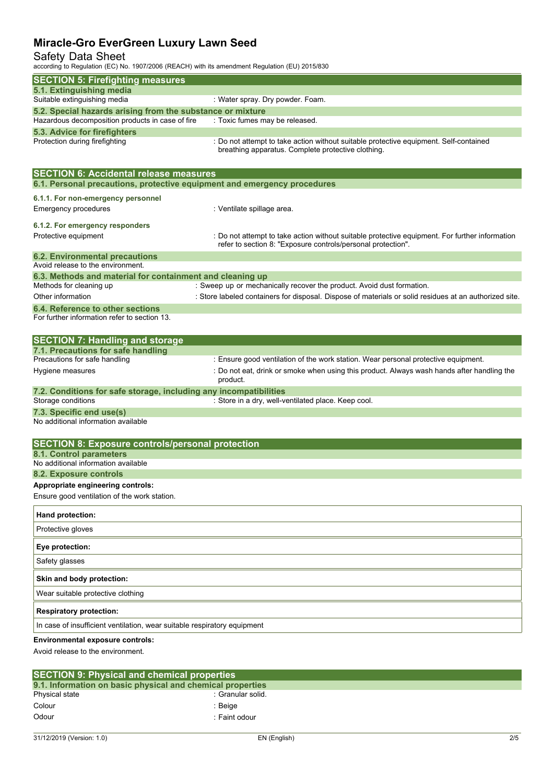## Safety Data Sheet

according to Regulation (EC) No. 1907/2006 (REACH) with its amendment Regulation (EU) 2015/830

| according to regulation (EO) NO. 1907/2000 (NEAOH) With its amendment regulation (EO) 2019/000 |                                                                                                                                                                |
|------------------------------------------------------------------------------------------------|----------------------------------------------------------------------------------------------------------------------------------------------------------------|
| <b>SECTION 5: Firefighting measures</b>                                                        |                                                                                                                                                                |
| 5.1. Extinguishing media<br>Suitable extinguishing media                                       | : Water spray. Dry powder. Foam.                                                                                                                               |
| 5.2. Special hazards arising from the substance or mixture                                     |                                                                                                                                                                |
| Hazardous decomposition products in case of fire                                               | : Toxic fumes may be released.                                                                                                                                 |
| 5.3. Advice for firefighters                                                                   |                                                                                                                                                                |
| Protection during firefighting                                                                 | : Do not attempt to take action without suitable protective equipment. Self-contained<br>breathing apparatus. Complete protective clothing.                    |
| <b>SECTION 6: Accidental release measures</b>                                                  |                                                                                                                                                                |
| 6.1. Personal precautions, protective equipment and emergency procedures                       |                                                                                                                                                                |
| 6.1.1. For non-emergency personnel                                                             |                                                                                                                                                                |
| <b>Emergency procedures</b>                                                                    | : Ventilate spillage area.                                                                                                                                     |
| 6.1.2. For emergency responders                                                                |                                                                                                                                                                |
| Protective equipment                                                                           | : Do not attempt to take action without suitable protective equipment. For further information<br>refer to section 8: "Exposure controls/personal protection". |
| <b>6.2. Environmental precautions</b>                                                          |                                                                                                                                                                |
| Avoid release to the environment.                                                              |                                                                                                                                                                |
| 6.3. Methods and material for containment and cleaning up<br>Methods for cleaning up           | : Sweep up or mechanically recover the product. Avoid dust formation.                                                                                          |
| Other information                                                                              | : Store labeled containers for disposal. Dispose of materials or solid residues at an authorized site.                                                         |
| 6.4. Reference to other sections                                                               |                                                                                                                                                                |
| For further information refer to section 13.                                                   |                                                                                                                                                                |
| <b>SECTION 7: Handling and storage</b>                                                         |                                                                                                                                                                |
| 7.1. Precautions for safe handling<br>Precautions for safe handling                            | : Ensure good ventilation of the work station. Wear personal protective equipment.                                                                             |
| Hygiene measures                                                                               | : Do not eat, drink or smoke when using this product. Always wash hands after handling the<br>product.                                                         |
| 7.2. Conditions for safe storage, including any incompatibilities                              |                                                                                                                                                                |
| Storage conditions                                                                             | : Store in a dry, well-ventilated place. Keep cool.                                                                                                            |
| 7.3. Specific end use(s)                                                                       |                                                                                                                                                                |
| No additional information available                                                            |                                                                                                                                                                |
| <b>SECTION 8: Exposure controls/personal protection</b>                                        |                                                                                                                                                                |
| 8.1. Control parameters                                                                        |                                                                                                                                                                |
| No additional information available                                                            |                                                                                                                                                                |
| 8.2. Exposure controls<br>Appropriate engineering controls:                                    |                                                                                                                                                                |
| Ensure good ventilation of the work station.                                                   |                                                                                                                                                                |
|                                                                                                |                                                                                                                                                                |
| Hand protection:                                                                               |                                                                                                                                                                |
| Protective gloves                                                                              |                                                                                                                                                                |
| Eye protection:                                                                                |                                                                                                                                                                |
| Safety glasses                                                                                 |                                                                                                                                                                |
| Skin and body protection:                                                                      |                                                                                                                                                                |
| Wear suitable protective clothing                                                              |                                                                                                                                                                |
| <b>Respiratory protection:</b>                                                                 |                                                                                                                                                                |
| In case of insufficient ventilation, wear suitable respiratory equipment                       |                                                                                                                                                                |
| Environmental exposure controls:                                                               |                                                                                                                                                                |
| Avoid release to the environment.                                                              |                                                                                                                                                                |

| <b>SECTION 9: Physical and chemical properties</b>         |                   |  |  |  |  |  |
|------------------------------------------------------------|-------------------|--|--|--|--|--|
| 9.1. Information on basic physical and chemical properties |                   |  |  |  |  |  |
| Physical state                                             | : Granular solid. |  |  |  |  |  |
| Colour                                                     | : Beige           |  |  |  |  |  |
| Odour                                                      | : Faint odour     |  |  |  |  |  |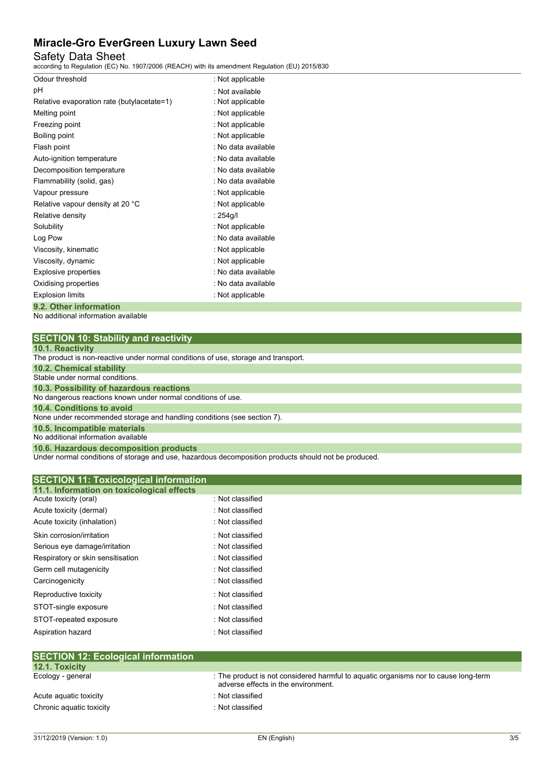# Safety Data Sheet

according to Regulation (EC) No. 1907/2006 (REACH) with its amendment Regulation (EU) 2015/830

| Odour threshold                            | : Not applicable    |
|--------------------------------------------|---------------------|
| рH                                         | : Not available     |
| Relative evaporation rate (butylacetate=1) | : Not applicable    |
| Melting point                              | : Not applicable    |
| Freezing point                             | : Not applicable    |
| Boiling point                              | : Not applicable    |
| Flash point                                | : No data available |
| Auto-ignition temperature                  | : No data available |
| Decomposition temperature                  | : No data available |
| Flammability (solid, gas)                  | . No data available |
| Vapour pressure                            | : Not applicable    |
| Relative vapour density at 20 °C           | : Not applicable    |
| Relative density                           | : 254g/l            |
| Solubility                                 | : Not applicable    |
| Log Pow                                    | : No data available |
| Viscosity, kinematic                       | : Not applicable    |
| Viscosity, dynamic                         | : Not applicable    |
| Explosive properties                       | : No data available |
| Oxidising properties                       | : No data available |
| <b>Explosion limits</b>                    | : Not applicable    |
| 9.2. Other information                     |                     |

No additional information available

|  | <b>SECTION 10: Stability and reactivity</b> |  |  |
|--|---------------------------------------------|--|--|
|  |                                             |  |  |

|  |  | 10.1. Reactivity |  |  |  |  |  |
|--|--|------------------|--|--|--|--|--|
|  |  |                  |  |  |  |  |  |

| <b>TU.T. Reactivity</b>                                                            |
|------------------------------------------------------------------------------------|
| The product is non-reactive under normal conditions of use, storage and transport. |
| 10.2. Chemical stability                                                           |
| Stable under normal conditions.                                                    |
| 10.3. Possibility of hazardous reactions                                           |
| No dangerous reactions known under normal conditions of use.                       |
| 10.4. Conditions to avoid                                                          |
| None under recommended storage and handling conditions (see section 7).            |
| 10.5. Incompatible materials                                                       |
| No additional information available                                                |
| 10.6. Hazardous decomposition products                                             |

Under normal conditions of storage and use, hazardous decomposition products should not be produced.

| 11.1. Information on toxicological effects<br>: Not classified<br>Acute toxicity (oral)<br>Acute toxicity (dermal)<br>: Not classified<br>: Not classified<br>Acute toxicity (inhalation)<br>Skin corrosion/irritation<br>: Not classified<br>: Not classified<br>Serious eye damage/irritation<br>Respiratory or skin sensitisation<br>: Not classified<br>Germ cell mutagenicity<br>: Not classified<br>Carcinogenicity<br>: Not classified<br>: Not classified<br>Reproductive toxicity<br>: Not classified<br>STOT-single exposure<br>STOT-repeated exposure<br>: Not classified<br>Aspiration hazard<br>: Not classified | <b>SECTION 11: Toxicological information</b> |  |
|-------------------------------------------------------------------------------------------------------------------------------------------------------------------------------------------------------------------------------------------------------------------------------------------------------------------------------------------------------------------------------------------------------------------------------------------------------------------------------------------------------------------------------------------------------------------------------------------------------------------------------|----------------------------------------------|--|
|                                                                                                                                                                                                                                                                                                                                                                                                                                                                                                                                                                                                                               |                                              |  |
|                                                                                                                                                                                                                                                                                                                                                                                                                                                                                                                                                                                                                               |                                              |  |
|                                                                                                                                                                                                                                                                                                                                                                                                                                                                                                                                                                                                                               |                                              |  |
|                                                                                                                                                                                                                                                                                                                                                                                                                                                                                                                                                                                                                               |                                              |  |
|                                                                                                                                                                                                                                                                                                                                                                                                                                                                                                                                                                                                                               |                                              |  |
|                                                                                                                                                                                                                                                                                                                                                                                                                                                                                                                                                                                                                               |                                              |  |
|                                                                                                                                                                                                                                                                                                                                                                                                                                                                                                                                                                                                                               |                                              |  |
|                                                                                                                                                                                                                                                                                                                                                                                                                                                                                                                                                                                                                               |                                              |  |
|                                                                                                                                                                                                                                                                                                                                                                                                                                                                                                                                                                                                                               |                                              |  |
|                                                                                                                                                                                                                                                                                                                                                                                                                                                                                                                                                                                                                               |                                              |  |
|                                                                                                                                                                                                                                                                                                                                                                                                                                                                                                                                                                                                                               |                                              |  |
|                                                                                                                                                                                                                                                                                                                                                                                                                                                                                                                                                                                                                               |                                              |  |
|                                                                                                                                                                                                                                                                                                                                                                                                                                                                                                                                                                                                                               |                                              |  |
|                                                                                                                                                                                                                                                                                                                                                                                                                                                                                                                                                                                                                               |                                              |  |
| <b>SECTION 12: Ecological information</b>                                                                                                                                                                                                                                                                                                                                                                                                                                                                                                                                                                                     |                                              |  |

| <b>12.1. Toxicity</b>    |                                                                                                                            |
|--------------------------|----------------------------------------------------------------------------------------------------------------------------|
| Ecology - general        | : The product is not considered harmful to aquatic organisms nor to cause long-term<br>adverse effects in the environment. |
| Acute aguatic toxicity   | : Not classified                                                                                                           |
| Chronic aquatic toxicity | : Not classified                                                                                                           |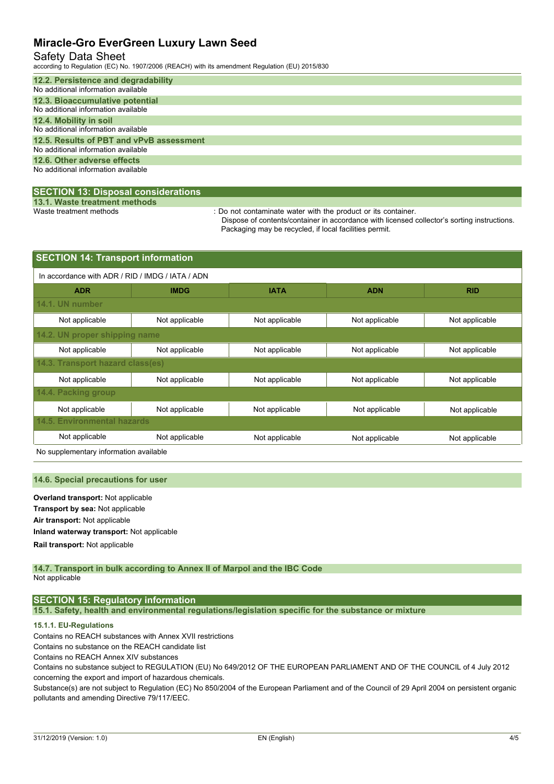### Safety Data Sheet

according to Regulation (EC) No. 1907/2006 (REACH) with its amendment Regulation (EU) 2015/830

| 12.2. Persistence and degradability<br>No additional information available      |
|---------------------------------------------------------------------------------|
| 12.3. Bioaccumulative potential<br>No additional information available          |
| 12.4. Mobility in soil<br>No additional information available                   |
| 12.5. Results of PBT and vPvB assessment<br>No additional information available |
| 12.6. Other adverse effects<br>No additional information available              |

#### **SECTION 13: Disposal considerations**

**13.1. Waste treatment methods**

: Do not contaminate water with the product or its container.

Dispose of contents/container in accordance with licensed collector's sorting instructions. Packaging may be recycled, if local facilities permit.

| <b>SECTION 14: Transport information</b>         |                |                |                |  |  |  |  |  |  |
|--------------------------------------------------|----------------|----------------|----------------|--|--|--|--|--|--|
| In accordance with ADR / RID / IMDG / IATA / ADN |                |                |                |  |  |  |  |  |  |
| <b>IMDG</b>                                      | <b>IATA</b>    | <b>ADN</b>     | <b>RID</b>     |  |  |  |  |  |  |
|                                                  |                |                |                |  |  |  |  |  |  |
| Not applicable                                   | Not applicable | Not applicable | Not applicable |  |  |  |  |  |  |
| 14.2. UN proper shipping name                    |                |                |                |  |  |  |  |  |  |
| Not applicable                                   | Not applicable | Not applicable | Not applicable |  |  |  |  |  |  |
| 14.3. Transport hazard class(es)                 |                |                |                |  |  |  |  |  |  |
| Not applicable                                   | Not applicable | Not applicable | Not applicable |  |  |  |  |  |  |
|                                                  |                |                |                |  |  |  |  |  |  |
| Not applicable                                   | Not applicable | Not applicable | Not applicable |  |  |  |  |  |  |
| <b>14.5. Environmental hazards</b>               |                |                |                |  |  |  |  |  |  |
| Not applicable                                   | Not applicable | Not applicable | Not applicable |  |  |  |  |  |  |
|                                                  | .              |                |                |  |  |  |  |  |  |

No supplementary information available

#### **14.6. Special precautions for user**

**Overland transport:** Not applicable **Transport by sea:** Not applicable **Air transport:** Not applicable **Inland waterway transport:** Not applicable **Rail.transport:** Not applicable

#### **14.7. Transport in bulk according to Annex II of Marpol and the IBC Code** Not applicable

## **SECTION 15: Regulatory information**

**15.1. Safety, health and environmental regulations/legislation specific for the substance or mixture**

#### **15.1.1. EU-Regulations**

Contains no REACH substances with Annex XVII restrictions

Contains no substance on the REACH candidate list

Contains no REACH Annex XIV substances

Contains no substance subject to REGULATION (EU) No 649/2012 OF THE EUROPEAN PARLIAMENT AND OF THE COUNCIL of 4 July 2012 concerning the export and import of hazardous chemicals.

Substance(s) are not subject to Regulation (EC) No 850/2004 of the European Parliament and of the Council of 29 April 2004 on persistent organic pollutants and amending Directive 79/117/EEC.